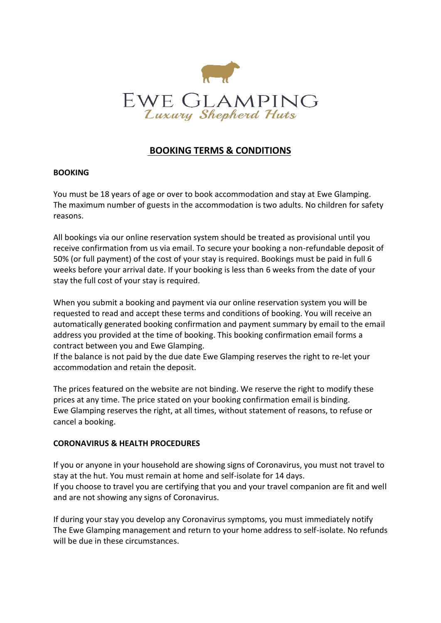

# **BOOKING TERMS & CONDITIONS**

### **BOOKING**

You must be 18 years of age or over to book accommodation and stay at Ewe Glamping. The maximum number of guests in the accommodation is two adults. No children for safety reasons.

All bookings via our online reservation system should be treated as provisional until you receive confirmation from us via email. To secure your booking a non-refundable deposit of 50% (or full payment) of the cost of your stay is required. Bookings must be paid in full 6 weeks before your arrival date. If your booking is less than 6 weeks from the date of your stay the full cost of your stay is required.

When you submit a booking and payment via our online reservation system you will be requested to read and accept these terms and conditions of booking. You will receive an automatically generated booking confirmation and payment summary by email to the email address you provided at the time of booking. This booking confirmation email forms a contract between you and Ewe Glamping.

If the balance is not paid by the due date Ewe Glamping reserves the right to re-let your accommodation and retain the deposit.

The prices featured on the website are not binding. We reserve the right to modify these prices at any time. The price stated on your booking confirmation email is binding. Ewe Glamping reserves the right, at all times, without statement of reasons, to refuse or cancel a booking.

### **CORONAVIRUS & HEALTH PROCEDURES**

If you or anyone in your household are showing signs of Coronavirus, you must not travel to stay at the hut. You must remain at home and self-isolate for 14 days. If you choose to travel you are certifying that you and your travel companion are fit and well and are not showing any signs of Coronavirus.

If during your stay you develop any Coronavirus symptoms, you must immediately notify The Ewe Glamping management and return to your home address to self-isolate. No refunds will be due in these circumstances.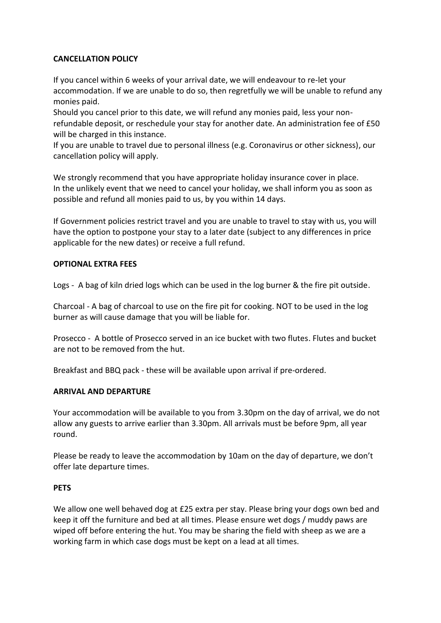# **CANCELLATION POLICY**

If you cancel within 6 weeks of your arrival date, we will endeavour to re-let your accommodation. If we are unable to do so, then regretfully we will be unable to refund any monies paid.

Should you cancel prior to this date, we will refund any monies paid, less your nonrefundable deposit, or reschedule your stay for another date. An administration fee of £50 will be charged in this instance.

If you are unable to travel due to personal illness (e.g. Coronavirus or other sickness), our cancellation policy will apply.

We strongly recommend that you have appropriate holiday insurance cover in place. In the unlikely event that we need to cancel your holiday, we shall inform you as soon as possible and refund all monies paid to us, by you within 14 days.

If Government policies restrict travel and you are unable to travel to stay with us, you will have the option to postpone your stay to a later date (subject to any differences in price applicable for the new dates) or receive a full refund.

### **OPTIONAL EXTRA FEES**

Logs - A bag of kiln dried logs which can be used in the log burner & the fire pit outside.

Charcoal - A bag of charcoal to use on the fire pit for cooking. NOT to be used in the log burner as will cause damage that you will be liable for.

Prosecco - A bottle of Prosecco served in an ice bucket with two flutes. Flutes and bucket are not to be removed from the hut.

Breakfast and BBQ pack - these will be available upon arrival if pre-ordered.

### **ARRIVAL AND DEPARTURE**

Your accommodation will be available to you from 3.30pm on the day of arrival, we do not allow any guests to arrive earlier than 3.30pm. All arrivals must be before 9pm, all year round.

Please be ready to leave the accommodation by 10am on the day of departure, we don't offer late departure times.

### **PETS**

We allow one well behaved dog at £25 extra per stay. Please bring your dogs own bed and keep it off the furniture and bed at all times. Please ensure wet dogs / muddy paws are wiped off before entering the hut. You may be sharing the field with sheep as we are a working farm in which case dogs must be kept on a lead at all times.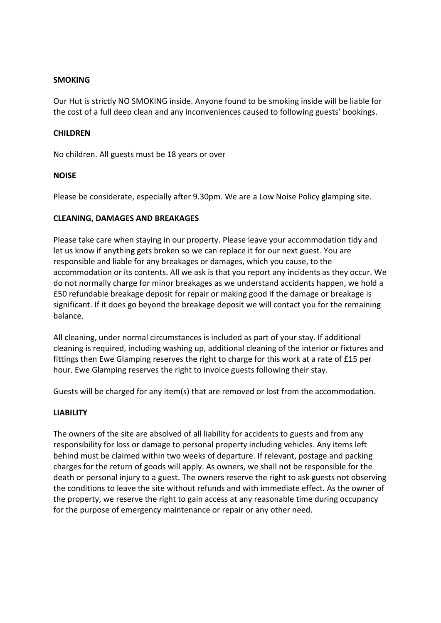### **SMOKING**

Our Hut is strictly NO SMOKING inside. Anyone found to be smoking inside will be liable for the cost of a full deep clean and any inconveniences caused to following guests' bookings.

### **CHILDREN**

No children. All guests must be 18 years or over

### **NOISE**

Please be considerate, especially after 9.30pm. We are a Low Noise Policy glamping site.

### **CLEANING, DAMAGES AND BREAKAGES**

Please take care when staying in our property. Please leave your accommodation tidy and let us know if anything gets broken so we can replace it for our next guest. You are responsible and liable for any breakages or damages, which you cause, to the accommodation or its contents. All we ask is that you report any incidents as they occur. We do not normally charge for minor breakages as we understand accidents happen, we hold a £50 refundable breakage deposit for repair or making good if the damage or breakage is significant. If it does go beyond the breakage deposit we will contact you for the remaining balance.

All cleaning, under normal circumstances is included as part of your stay. If additional cleaning is required, including washing up, additional cleaning of the interior or fixtures and fittings then Ewe Glamping reserves the right to charge for this work at a rate of £15 per hour. Ewe Glamping reserves the right to invoice guests following their stay.

Guests will be charged for any item(s) that are removed or lost from the accommodation.

# **LIABILITY**

The owners of the site are absolved of all liability for accidents to guests and from any responsibility for loss or damage to personal property including vehicles. Any items left behind must be claimed within two weeks of departure. If relevant, postage and packing charges for the return of goods will apply. As owners, we shall not be responsible for the death or personal injury to a guest. The owners reserve the right to ask guests not observing the conditions to leave the site without refunds and with immediate effect. As the owner of the property, we reserve the right to gain access at any reasonable time during occupancy for the purpose of emergency maintenance or repair or any other need.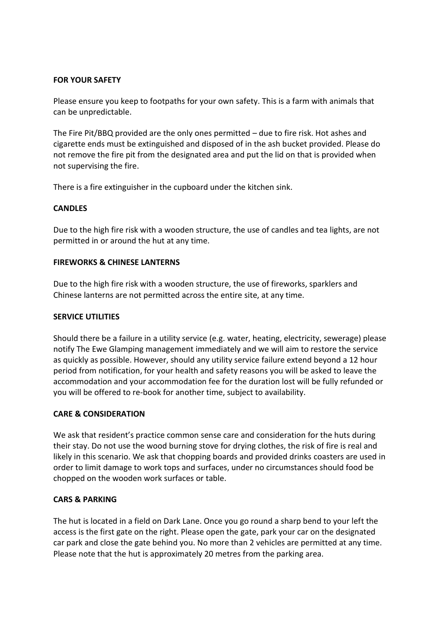### **FOR YOUR SAFETY**

Please ensure you keep to footpaths for your own safety. This is a farm with animals that can be unpredictable.

The Fire Pit/BBQ provided are the only ones permitted – due to fire risk. Hot ashes and cigarette ends must be extinguished and disposed of in the ash bucket provided. Please do not remove the fire pit from the designated area and put the lid on that is provided when not supervising the fire.

There is a fire extinguisher in the cupboard under the kitchen sink.

### **CANDLES**

Due to the high fire risk with a wooden structure, the use of candles and tea lights, are not permitted in or around the hut at any time.

### **FIREWORKS & CHINESE LANTERNS**

Due to the high fire risk with a wooden structure, the use of fireworks, sparklers and Chinese lanterns are not permitted across the entire site, at any time.

### **SERVICE UTILITIES**

Should there be a failure in a utility service (e.g. water, heating, electricity, sewerage) please notify The Ewe Glamping management immediately and we will aim to restore the service as quickly as possible. However, should any utility service failure extend beyond a 12 hour period from notification, for your health and safety reasons you will be asked to leave the accommodation and your accommodation fee for the duration lost will be fully refunded or you will be offered to re-book for another time, subject to availability.

# **CARE & CONSIDERATION**

We ask that resident's practice common sense care and consideration for the huts during their stay. Do not use the wood burning stove for drying clothes, the risk of fire is real and likely in this scenario. We ask that chopping boards and provided drinks coasters are used in order to limit damage to work tops and surfaces, under no circumstances should food be chopped on the wooden work surfaces or table.

### **CARS & PARKING**

The hut is located in a field on Dark Lane. Once you go round a sharp bend to your left the access is the first gate on the right. Please open the gate, park your car on the designated car park and close the gate behind you. No more than 2 vehicles are permitted at any time. Please note that the hut is approximately 20 metres from the parking area.